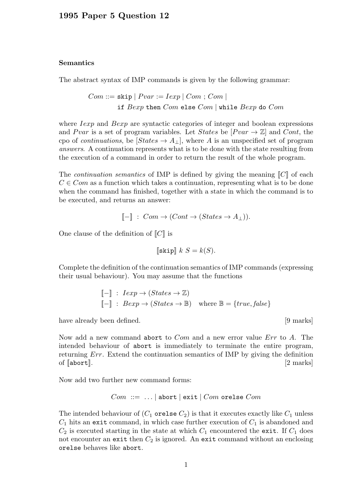## Semantics

The abstract syntax of IMP commands is given by the following grammar:

 $Com ::=$  skip  $| \; Pvar := Iexp | \; Com ; Com |$ if  $Bexp$  then  $Com$  else  $Com$  | while  $Bexp$  do  $Com$ 

where *Iexp* and *Bexp* are syntactic categories of integer and boolean expressions and Pvar is a set of program variables. Let States be  $[Pvar \rightarrow \mathbb{Z}]$  and Cont, the cpo of *continuations*, be  $[States \rightarrow A_{\perp}]$ , where A is an unspecified set of program answers. A continuation represents what is to be done with the state resulting from the execution of a command in order to return the result of the whole program.

The *continuation semantics* of IMP is defined by giving the meaning  $\llbracket C \rrbracket$  of each  $C \in Com$  as a function which takes a continuation, representing what is to be done when the command has finished, together with a state in which the command is to be executed, and returns an answer:

$$
[\![-]\!]
$$
:  $Com \rightarrow (Cont \rightarrow (States \rightarrow A_{\perp})).$ 

One clause of the definition of  $\llbracket C \rrbracket$  is

$$
\llbracket \texttt{skip} \rrbracket \ k \ S = k(S).
$$

Complete the definition of the continuation semantics of IMP commands (expressing their usual behaviour). You may assume that the functions

$$
\begin{aligned}\n\llbracket - \rrbracket & \colon \text{I} \exp \to (\text{States} \to \mathbb{Z}) \\
\llbracket - \rrbracket & \colon \text{B} \exp \to (\text{States} \to \mathbb{B}) \quad \text{where } \mathbb{B} = \{\text{true}, \text{false}\}\n\end{aligned}
$$

have already been defined.  $[9 \text{ marks}]$ 

Now add a new command abort to *Com* and a new error value *Err* to A. The intended behaviour of abort is immediately to terminate the entire program, returning Err. Extend the continuation semantics of IMP by giving the definition of  $\lceil \text{abort} \rceil$ .  $\lceil 2 \text{ marks} \rceil$ 

Now add two further new command forms:

$$
Com ::= ... | abort | exit | Com or else Com
$$

The intended behaviour of  $(C_1$  orelse  $C_2$ ) is that it executes exactly like  $C_1$  unless  $C_1$  hits an exit command, in which case further execution of  $C_1$  is abandoned and  $C_2$  is executed starting in the state at which  $C_1$  encountered the exit. If  $C_1$  does not encounter an exit then  $C_2$  is ignored. An exit command without an enclosing orelse behaves like abort.